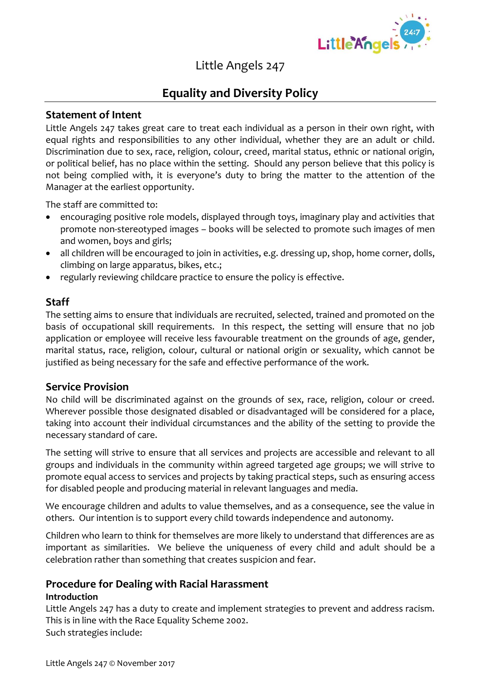

# Little Angels 247

## **Equality and Diversity Policy**

### **Statement of Intent**

Little Angels 247 takes great care to treat each individual as a person in their own right, with equal rights and responsibilities to any other individual, whether they are an adult or child. Discrimination due to sex, race, religion, colour, creed, marital status, ethnic or national origin, or political belief, has no place within the setting. Should any person believe that this policy is not being complied with, it is everyone's duty to bring the matter to the attention of the Manager at the earliest opportunity.

The staff are committed to:

- encouraging positive role models, displayed through toys, imaginary play and activities that promote non-stereotyped images – books will be selected to promote such images of men and women, boys and girls;
- all children will be encouraged to join in activities, e.g. dressing up, shop, home corner, dolls, climbing on large apparatus, bikes, etc.;
- regularly reviewing childcare practice to ensure the policy is effective.

### **Staff**

The setting aims to ensure that individuals are recruited, selected, trained and promoted on the basis of occupational skill requirements. In this respect, the setting will ensure that no job application or employee will receive less favourable treatment on the grounds of age, gender, marital status, race, religion, colour, cultural or national origin or sexuality, which cannot be justified as being necessary for the safe and effective performance of the work.

### **Service Provision**

No child will be discriminated against on the grounds of sex, race, religion, colour or creed. Wherever possible those designated disabled or disadvantaged will be considered for a place, taking into account their individual circumstances and the ability of the setting to provide the necessary standard of care.

The setting will strive to ensure that all services and projects are accessible and relevant to all groups and individuals in the community within agreed targeted age groups; we will strive to promote equal access to services and projects by taking practical steps, such as ensuring access for disabled people and producing material in relevant languages and media.

We encourage children and adults to value themselves, and as a consequence, see the value in others. Our intention is to support every child towards independence and autonomy.

Children who learn to think for themselves are more likely to understand that differences are as important as similarities. We believe the uniqueness of every child and adult should be a celebration rather than something that creates suspicion and fear.

#### **Procedure for Dealing with Racial Harassment Introduction**

Little Angels 247 has a duty to create and implement strategies to prevent and address racism. This is in line with the Race Equality Scheme 2002. Such strategies include: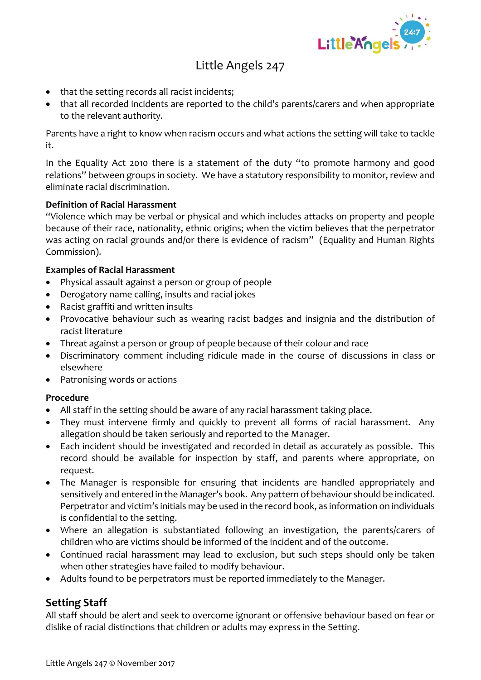

# Little Angels 247

- that the setting records all racist incidents;
- that all recorded incidents are reported to the child's parents/carers and when appropriate to the relevant authority.

Parents have a right to know when racism occurs and what actions the setting will take to tackle it.

In the Equality Act 2010 there is a statement of the duty "to promote harmony and good relations" between groups in society. We have a statutory responsibility to monitor, review and eliminate racial discrimination.

#### **Definition of Racial Harassment**

"Violence which may be verbal or physical and which includes attacks on property and people because of their race, nationality, ethnic origins; when the victim believes that the perpetrator was acting on racial grounds and/or there is evidence of racism" (Equality and Human Rights Commission).

#### **Examples of Racial Harassment**

- Physical assault against a person or group of people
- Derogatory name calling, insults and racial jokes
- Racist graffiti and written insults
- Provocative behaviour such as wearing racist badges and insignia and the distribution of racist literature
- Threat against a person or group of people because of their colour and race
- Discriminatory comment including ridicule made in the course of discussions in class or elsewhere
- Patronising words or actions

#### **Procedure**

- All staff in the setting should be aware of any racial harassment taking place.
- They must intervene firmly and quickly to prevent all forms of racial harassment. Any allegation should be taken seriously and reported to the Manager.
- Each incident should be investigated and recorded in detail as accurately as possible. This record should be available for inspection by staff, and parents where appropriate, on request.
- The Manager is responsible for ensuring that incidents are handled appropriately and sensitively and entered in the Manager's book. Any pattern of behaviour should be indicated. Perpetrator and victim's initials may be used in the record book, as information on individuals is confidential to the setting.
- Where an allegation is substantiated following an investigation, the parents/carers of children who are victims should be informed of the incident and of the outcome.
- Continued racial harassment may lead to exclusion, but such steps should only be taken when other strategies have failed to modify behaviour.
- Adults found to be perpetrators must be reported immediately to the Manager.

### **Setting Staff**

All staff should be alert and seek to overcome ignorant or offensive behaviour based on fear or dislike of racial distinctions that children or adults may express in the Setting.